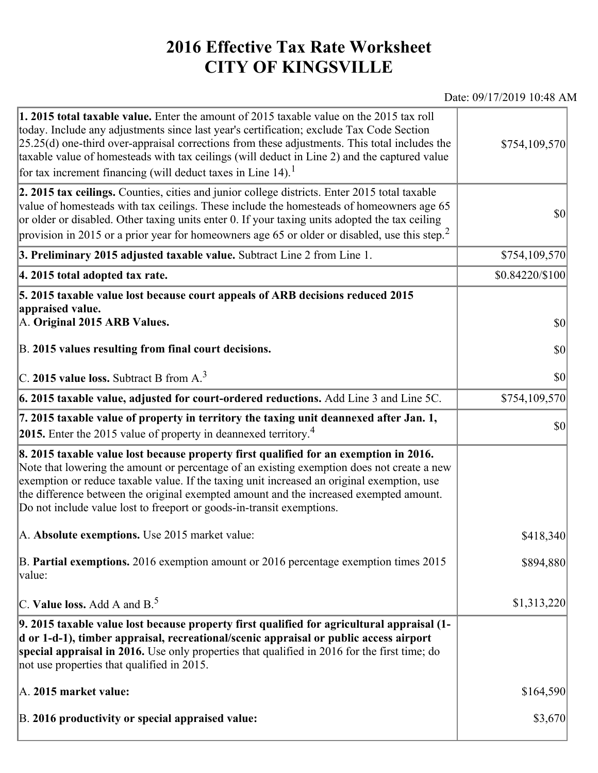## **2016 Effective Tax Rate Worksheet CITY OF KINGSVILLE**

## Date: 09/17/2019 10:48 AM

| 1. 2015 total taxable value. Enter the amount of 2015 taxable value on the 2015 tax roll<br>today. Include any adjustments since last year's certification; exclude Tax Code Section<br>$[25.25(d)$ one-third over-appraisal corrections from these adjustments. This total includes the<br>taxable value of homesteads with tax ceilings (will deduct in Line 2) and the captured value<br>for tax increment financing (will deduct taxes in Line $14$ ). <sup>1</sup> | \$754,109,570   |
|-------------------------------------------------------------------------------------------------------------------------------------------------------------------------------------------------------------------------------------------------------------------------------------------------------------------------------------------------------------------------------------------------------------------------------------------------------------------------|-----------------|
| 2. 2015 tax ceilings. Counties, cities and junior college districts. Enter 2015 total taxable<br>value of homesteads with tax ceilings. These include the homesteads of homeowners age 65<br>or older or disabled. Other taxing units enter 0. If your taxing units adopted the tax ceiling<br>provision in 2015 or a prior year for homeowners age 65 or older or disabled, use this step. <sup>2</sup>                                                                | 30              |
| 3. Preliminary 2015 adjusted taxable value. Subtract Line 2 from Line 1.                                                                                                                                                                                                                                                                                                                                                                                                | \$754,109,570   |
| 4. 2015 total adopted tax rate.                                                                                                                                                                                                                                                                                                                                                                                                                                         | \$0.84220/\$100 |
| 5. 2015 taxable value lost because court appeals of ARB decisions reduced 2015<br>appraised value.<br>A. Original 2015 ARB Values.                                                                                                                                                                                                                                                                                                                                      | $ 10\rangle$    |
| B. 2015 values resulting from final court decisions.                                                                                                                                                                                                                                                                                                                                                                                                                    | 30              |
| C. 2015 value loss. Subtract B from $A3$                                                                                                                                                                                                                                                                                                                                                                                                                                | \$0             |
| 6. 2015 taxable value, adjusted for court-ordered reductions. Add Line 3 and Line 5C.                                                                                                                                                                                                                                                                                                                                                                                   | \$754,109,570   |
| 7. 2015 taxable value of property in territory the taxing unit deannexed after Jan. 1,<br>2015. Enter the 2015 value of property in deannexed territory. <sup>4</sup>                                                                                                                                                                                                                                                                                                   | $ 10\rangle$    |
| 8. 2015 taxable value lost because property first qualified for an exemption in 2016.<br>Note that lowering the amount or percentage of an existing exemption does not create a new<br>exemption or reduce taxable value. If the taxing unit increased an original exemption, use<br>the difference between the original exempted amount and the increased exempted amount.<br>Do not include value lost to freeport or goods-in-transit exemptions.                    |                 |
| A. Absolute exemptions. Use 2015 market value:                                                                                                                                                                                                                                                                                                                                                                                                                          | \$418,340       |
| B. Partial exemptions. 2016 exemption amount or 2016 percentage exemption times 2015<br>value:                                                                                                                                                                                                                                                                                                                                                                          | \$894,880       |
| C. Value loss. Add A and $B^5$ .                                                                                                                                                                                                                                                                                                                                                                                                                                        | \$1,313,220     |
| 9. 2015 taxable value lost because property first qualified for agricultural appraisal (1-<br>d or 1-d-1), timber appraisal, recreational/scenic appraisal or public access airport<br>special appraisal in 2016. Use only properties that qualified in 2016 for the first time; do<br>not use properties that qualified in 2015.                                                                                                                                       |                 |
| A. 2015 market value:                                                                                                                                                                                                                                                                                                                                                                                                                                                   | \$164,590       |
| B. 2016 productivity or special appraised value:                                                                                                                                                                                                                                                                                                                                                                                                                        | \$3,670         |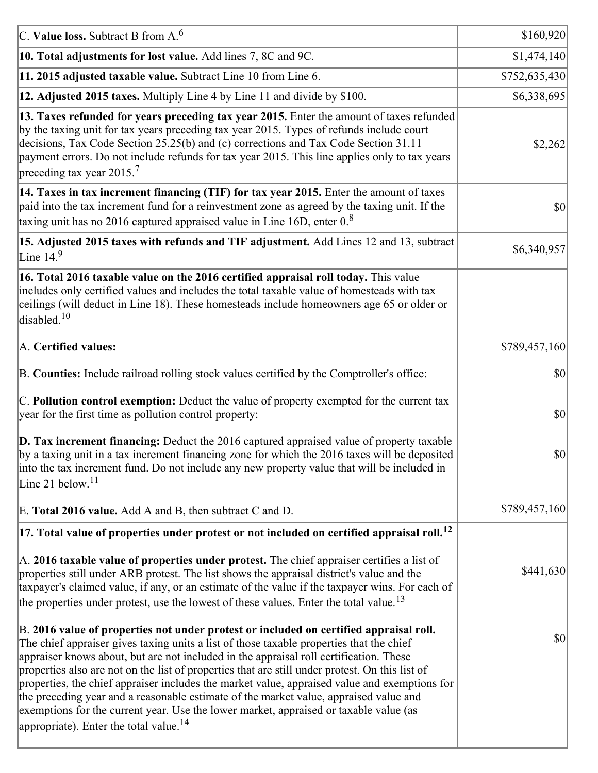| C. Value loss. Subtract B from $A6$                                                                                                                                                                                                                                                                                                                                                                                                                                                                                                                                                                                                                                                                                      | \$160,920     |
|--------------------------------------------------------------------------------------------------------------------------------------------------------------------------------------------------------------------------------------------------------------------------------------------------------------------------------------------------------------------------------------------------------------------------------------------------------------------------------------------------------------------------------------------------------------------------------------------------------------------------------------------------------------------------------------------------------------------------|---------------|
| 10. Total adjustments for lost value. Add lines 7, 8C and 9C.                                                                                                                                                                                                                                                                                                                                                                                                                                                                                                                                                                                                                                                            | \$1,474,140   |
| 11. 2015 adjusted taxable value. Subtract Line 10 from Line 6.                                                                                                                                                                                                                                                                                                                                                                                                                                                                                                                                                                                                                                                           | \$752,635,430 |
| 12. Adjusted 2015 taxes. Multiply Line 4 by Line 11 and divide by \$100.                                                                                                                                                                                                                                                                                                                                                                                                                                                                                                                                                                                                                                                 | \$6,338,695   |
| 13. Taxes refunded for years preceding tax year 2015. Enter the amount of taxes refunded<br>by the taxing unit for tax years preceding tax year 2015. Types of refunds include court<br>decisions, Tax Code Section 25.25(b) and (c) corrections and Tax Code Section 31.11<br>payment errors. Do not include refunds for tax year 2015. This line applies only to tax years<br>preceding tax year 2015. <sup>7</sup>                                                                                                                                                                                                                                                                                                    | \$2,262       |
| 14. Taxes in tax increment financing (TIF) for tax year 2015. Enter the amount of taxes<br>paid into the tax increment fund for a reinvestment zone as agreed by the taxing unit. If the<br>taxing unit has no 2016 captured appraised value in Line 16D, enter $08$                                                                                                                                                                                                                                                                                                                                                                                                                                                     | 30            |
| 15. Adjusted 2015 taxes with refunds and TIF adjustment. Add Lines 12 and 13, subtract<br>Line $149$                                                                                                                                                                                                                                                                                                                                                                                                                                                                                                                                                                                                                     | \$6,340,957   |
| 16. Total 2016 taxable value on the 2016 certified appraisal roll today. This value<br>includes only certified values and includes the total taxable value of homesteads with tax<br>ceilings (will deduct in Line 18). These homesteads include homeowners age 65 or older or<br>disabled. <sup>10</sup>                                                                                                                                                                                                                                                                                                                                                                                                                |               |
| A. Certified values:                                                                                                                                                                                                                                                                                                                                                                                                                                                                                                                                                                                                                                                                                                     | \$789,457,160 |
| B. Counties: Include railroad rolling stock values certified by the Comptroller's office:                                                                                                                                                                                                                                                                                                                                                                                                                                                                                                                                                                                                                                | \$0           |
| C. Pollution control exemption: Deduct the value of property exempted for the current tax<br>year for the first time as pollution control property:                                                                                                                                                                                                                                                                                                                                                                                                                                                                                                                                                                      | $ 10\rangle$  |
| $\vert$ D. Tax increment financing: Deduct the 2016 captured appraised value of property taxable<br>by a taxing unit in a tax increment financing zone for which the 2016 taxes will be deposited<br>into the tax increment fund. Do not include any new property value that will be included in<br>Line 21 below. <sup>11</sup>                                                                                                                                                                                                                                                                                                                                                                                         | \$0           |
| E. Total 2016 value. Add A and B, then subtract C and D.                                                                                                                                                                                                                                                                                                                                                                                                                                                                                                                                                                                                                                                                 | \$789,457,160 |
| $ 17.$ Total value of properties under protest or not included on certified appraisal roll. $^{12}$                                                                                                                                                                                                                                                                                                                                                                                                                                                                                                                                                                                                                      |               |
| A. 2016 taxable value of properties under protest. The chief appraiser certifies a list of<br>properties still under ARB protest. The list shows the appraisal district's value and the<br>taxpayer's claimed value, if any, or an estimate of the value if the taxpayer wins. For each of<br>the properties under protest, use the lowest of these values. Enter the total value. <sup>13</sup>                                                                                                                                                                                                                                                                                                                         | \$441,630     |
| B. 2016 value of properties not under protest or included on certified appraisal roll.<br>The chief appraiser gives taxing units a list of those taxable properties that the chief<br>appraiser knows about, but are not included in the appraisal roll certification. These<br>properties also are not on the list of properties that are still under protest. On this list of<br>properties, the chief appraiser includes the market value, appraised value and exemptions for<br>the preceding year and a reasonable estimate of the market value, appraised value and<br>exemptions for the current year. Use the lower market, appraised or taxable value (as<br>appropriate). Enter the total value. <sup>14</sup> | 30            |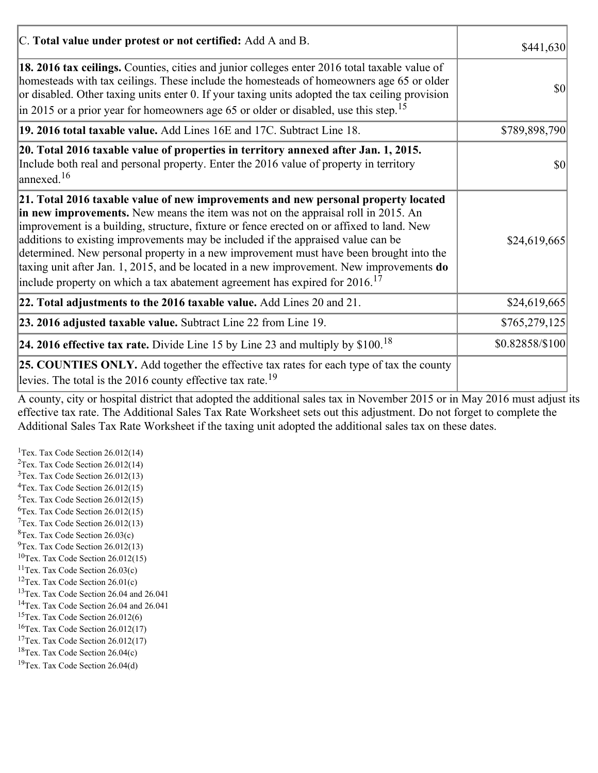| C. Total value under protest or not certified: Add A and B.                                                                                                                                                                                                                                                                                                                                                                                                                                                                                                                                                                                  | \$441,630       |
|----------------------------------------------------------------------------------------------------------------------------------------------------------------------------------------------------------------------------------------------------------------------------------------------------------------------------------------------------------------------------------------------------------------------------------------------------------------------------------------------------------------------------------------------------------------------------------------------------------------------------------------------|-----------------|
| 18. 2016 tax ceilings. Counties, cities and junior colleges enter 2016 total taxable value of<br>homesteads with tax ceilings. These include the homesteads of homeowners age 65 or older<br>or disabled. Other taxing units enter 0. If your taxing units adopted the tax ceiling provision<br>in 2015 or a prior year for homeowners age 65 or older or disabled, use this step. <sup>15</sup>                                                                                                                                                                                                                                             | \$0             |
| 19. 2016 total taxable value. Add Lines 16E and 17C. Subtract Line 18.                                                                                                                                                                                                                                                                                                                                                                                                                                                                                                                                                                       | \$789,898,790   |
| 20. Total 2016 taxable value of properties in territory annexed after Jan. 1, 2015.<br>Include both real and personal property. Enter the 2016 value of property in territory<br>$\frac{16}{2}$                                                                                                                                                                                                                                                                                                                                                                                                                                              | 10              |
| 21. Total 2016 taxable value of new improvements and new personal property located<br>in new improvements. New means the item was not on the appraisal roll in 2015. An<br>improvement is a building, structure, fixture or fence erected on or affixed to land. New<br>additions to existing improvements may be included if the appraised value can be<br>determined. New personal property in a new improvement must have been brought into the<br>taxing unit after Jan. 1, 2015, and be located in a new improvement. New improvements do<br>include property on which a tax abatement agreement has expired for $2016$ . <sup>17</sup> | \$24,619,665    |
| 22. Total adjustments to the 2016 taxable value. Add Lines 20 and 21.                                                                                                                                                                                                                                                                                                                                                                                                                                                                                                                                                                        | \$24,619,665    |
| 23. 2016 adjusted taxable value. Subtract Line 22 from Line 19.                                                                                                                                                                                                                                                                                                                                                                                                                                                                                                                                                                              | \$765,279,125   |
| 24. 2016 effective tax rate. Divide Line 15 by Line 23 and multiply by $$100$ . <sup>18</sup>                                                                                                                                                                                                                                                                                                                                                                                                                                                                                                                                                | \$0.82858/\$100 |
| <b>25. COUNTIES ONLY.</b> Add together the effective tax rates for each type of tax the county<br>levies. The total is the 2016 county effective tax rate. <sup>19</sup>                                                                                                                                                                                                                                                                                                                                                                                                                                                                     |                 |

A county, city or hospital district that adopted the additional sales tax in November 2015 or in May 2016 must adjust its effective tax rate. The Additional Sales Tax Rate Worksheet sets out this adjustment. Do not forget to complete the Additional Sales Tax Rate Worksheet if the taxing unit adopted the additional sales tax on these dates.

<sup>1</sup>Tex. Tax Code Section  $26.012(14)$ <sup>2</sup>Tex. Tax Code Section  $26.012(14)$  $3$ Tex. Tax Code Section 26.012(13)  ${}^{4}$ Tex. Tax Code Section 26.012(15)  $5$ Tex. Tax Code Section 26.012(15)  ${}^{6}$ Tex. Tax Code Section 26.012(15)  $7$ Tex. Tax Code Section 26.012(13)  ${}^{8}$ Tex. Tax Code Section 26.03(c)  $^{9}$ Tex. Tax Code Section 26.012(13)  $10$ Tex. Tax Code Section 26.012(15) <sup>11</sup>Tex. Tax Code Section  $26.03(c)$ <sup>12</sup>Tex. Tax Code Section  $26.01(c)$ <sup>13</sup>Tex. Tax Code Section 26.04 and 26.041 <sup>14</sup>Tex. Tax Code Section 26.04 and 26.041 <sup>15</sup>Tex. Tax Code Section  $26.012(6)$  $16$ Tex. Tax Code Section 26.012(17) <sup>17</sup>Tex. Tax Code Section  $26.012(17)$ <sup>18</sup>Tex. Tax Code Section 26.04(c) <sup>19</sup>Tex. Tax Code Section 26.04(d)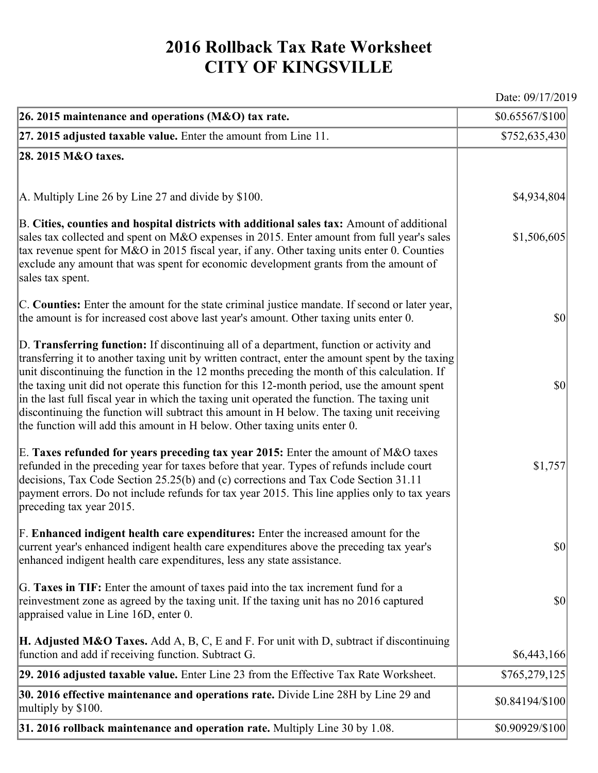## **2016 Rollback Tax Rate Worksheet CITY OF KINGSVILLE**

Date: 09/17/2019

| 26. 2015 maintenance and operations (M&O) tax rate.                                                                                                                                                                                                                                                                                                                                                                                                                                                                                                                                                                                                                     | $$0.65567/\$100$                    |
|-------------------------------------------------------------------------------------------------------------------------------------------------------------------------------------------------------------------------------------------------------------------------------------------------------------------------------------------------------------------------------------------------------------------------------------------------------------------------------------------------------------------------------------------------------------------------------------------------------------------------------------------------------------------------|-------------------------------------|
| $ 27.2015$ adjusted taxable value. Enter the amount from Line 11.                                                                                                                                                                                                                                                                                                                                                                                                                                                                                                                                                                                                       | \$752,635,430                       |
| 28. 2015 M&O taxes.                                                                                                                                                                                                                                                                                                                                                                                                                                                                                                                                                                                                                                                     |                                     |
|                                                                                                                                                                                                                                                                                                                                                                                                                                                                                                                                                                                                                                                                         |                                     |
| $ A$ . Multiply Line 26 by Line 27 and divide by \$100.                                                                                                                                                                                                                                                                                                                                                                                                                                                                                                                                                                                                                 | \$4,934,804                         |
| B. Cities, counties and hospital districts with additional sales tax: Amount of additional<br>sales tax collected and spent on M&O expenses in 2015. Enter amount from full year's sales<br>tax revenue spent for M&O in 2015 fiscal year, if any. Other taxing units enter 0. Counties<br>exclude any amount that was spent for economic development grants from the amount of<br>sales tax spent.                                                                                                                                                                                                                                                                     | \$1,506,605                         |
| C. Counties: Enter the amount for the state criminal justice mandate. If second or later year,<br>the amount is for increased cost above last year's amount. Other taxing units enter 0.                                                                                                                                                                                                                                                                                                                                                                                                                                                                                | $ 10\rangle$                        |
| D. Transferring function: If discontinuing all of a department, function or activity and<br>transferring it to another taxing unit by written contract, enter the amount spent by the taxing<br>unit discontinuing the function in the 12 months preceding the month of this calculation. If<br>the taxing unit did not operate this function for this 12-month period, use the amount spent<br>in the last full fiscal year in which the taxing unit operated the function. The taxing unit<br>discontinuing the function will subtract this amount in H below. The taxing unit receiving<br>the function will add this amount in H below. Other taxing units enter 0. | $ 10\rangle$                        |
| E. Taxes refunded for years preceding tax year 2015: Enter the amount of M&O taxes<br>refunded in the preceding year for taxes before that year. Types of refunds include court<br>decisions, Tax Code Section 25.25(b) and (c) corrections and Tax Code Section 31.11<br>payment errors. Do not include refunds for tax year 2015. This line applies only to tax years<br>preceding tax year 2015.                                                                                                                                                                                                                                                                     | \$1,757                             |
| F. Enhanced indigent health care expenditures: Enter the increased amount for the<br>current year's enhanced indigent health care expenditures above the preceding tax year's<br>enhanced indigent health care expenditures, less any state assistance.                                                                                                                                                                                                                                                                                                                                                                                                                 | $\vert \mathbf{S} \mathbf{0} \vert$ |
| G. Taxes in TIF: Enter the amount of taxes paid into the tax increment fund for a<br>reinvestment zone as agreed by the taxing unit. If the taxing unit has no 2016 captured<br>appraised value in Line 16D, enter 0.                                                                                                                                                                                                                                                                                                                                                                                                                                                   | $ 10\rangle$                        |
| <b>H. Adjusted M&amp;O Taxes.</b> Add A, B, C, E and F. For unit with D, subtract if discontinuing<br>function and add if receiving function. Subtract G.                                                                                                                                                                                                                                                                                                                                                                                                                                                                                                               | \$6,443,166                         |
| 29. 2016 adjusted taxable value. Enter Line 23 from the Effective Tax Rate Worksheet.                                                                                                                                                                                                                                                                                                                                                                                                                                                                                                                                                                                   | \$765,279,125                       |
| 30. 2016 effective maintenance and operations rate. Divide Line 28H by Line 29 and<br>multiply by \$100.                                                                                                                                                                                                                                                                                                                                                                                                                                                                                                                                                                | \$0.84194/\$100                     |
| $31.2016$ rollback maintenance and operation rate. Multiply Line 30 by 1.08.                                                                                                                                                                                                                                                                                                                                                                                                                                                                                                                                                                                            | \$0.90929/\$100                     |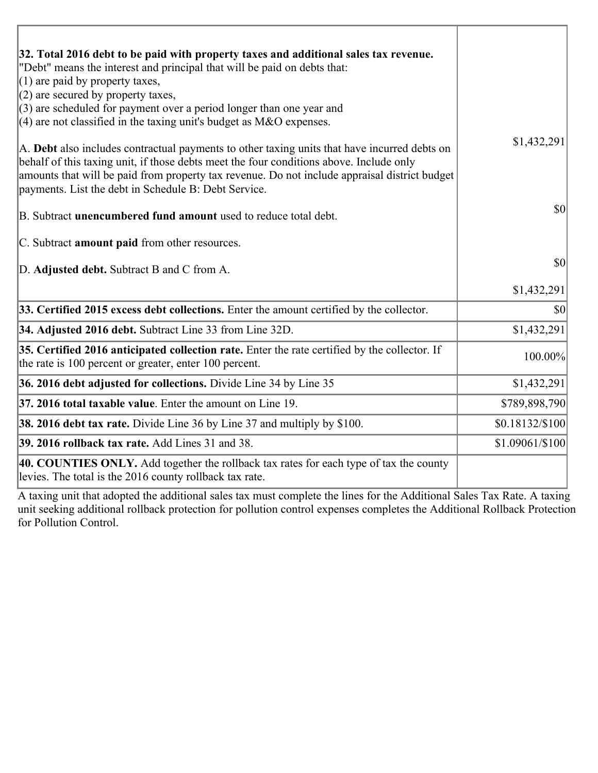| 32. Total 2016 debt to be paid with property taxes and additional sales tax revenue.<br>"Debt" means the interest and principal that will be paid on debts that:                                                                                                                                                                                 |                 |
|--------------------------------------------------------------------------------------------------------------------------------------------------------------------------------------------------------------------------------------------------------------------------------------------------------------------------------------------------|-----------------|
| $(1)$ are paid by property taxes,                                                                                                                                                                                                                                                                                                                |                 |
| $(2)$ are secured by property taxes,                                                                                                                                                                                                                                                                                                             |                 |
| $(3)$ are scheduled for payment over a period longer than one year and                                                                                                                                                                                                                                                                           |                 |
| $(4)$ are not classified in the taxing unit's budget as M&O expenses.                                                                                                                                                                                                                                                                            |                 |
| A. Debt also includes contractual payments to other taxing units that have incurred debts on<br>behalf of this taxing unit, if those debts meet the four conditions above. Include only<br>amounts that will be paid from property tax revenue. Do not include appraisal district budget<br>payments. List the debt in Schedule B: Debt Service. | \$1,432,291     |
| B. Subtract unencumbered fund amount used to reduce total debt.                                                                                                                                                                                                                                                                                  | \$0             |
| C. Subtract amount paid from other resources.                                                                                                                                                                                                                                                                                                    |                 |
| D. Adjusted debt. Subtract B and C from A.                                                                                                                                                                                                                                                                                                       | \$0             |
|                                                                                                                                                                                                                                                                                                                                                  | \$1,432,291     |
| 33. Certified 2015 excess debt collections. Enter the amount certified by the collector.                                                                                                                                                                                                                                                         | \$0             |
| 34. Adjusted 2016 debt. Subtract Line 33 from Line 32D.                                                                                                                                                                                                                                                                                          | \$1,432,291     |
| 35. Certified 2016 anticipated collection rate. Enter the rate certified by the collector. If<br>the rate is 100 percent or greater, enter 100 percent.                                                                                                                                                                                          | 100.00%         |
| 36. 2016 debt adjusted for collections. Divide Line 34 by Line 35                                                                                                                                                                                                                                                                                | \$1,432,291     |
| 37. 2016 total taxable value. Enter the amount on Line 19.                                                                                                                                                                                                                                                                                       | \$789,898,790   |
| 38. 2016 debt tax rate. Divide Line 36 by Line 37 and multiply by \$100.                                                                                                                                                                                                                                                                         | \$0.18132/\$100 |
| 39. 2016 rollback tax rate. Add Lines 31 and 38.                                                                                                                                                                                                                                                                                                 | \$1.09061/\$100 |
| 40. COUNTIES ONLY. Add together the rollback tax rates for each type of tax the county<br>levies. The total is the 2016 county rollback tax rate.                                                                                                                                                                                                |                 |

A taxing unit that adopted the additional sales tax must complete the lines for the Additional Sales Tax Rate. A taxing unit seeking additional rollback protection for pollution control expenses completes the Additional Rollback Protection for Pollution Control.